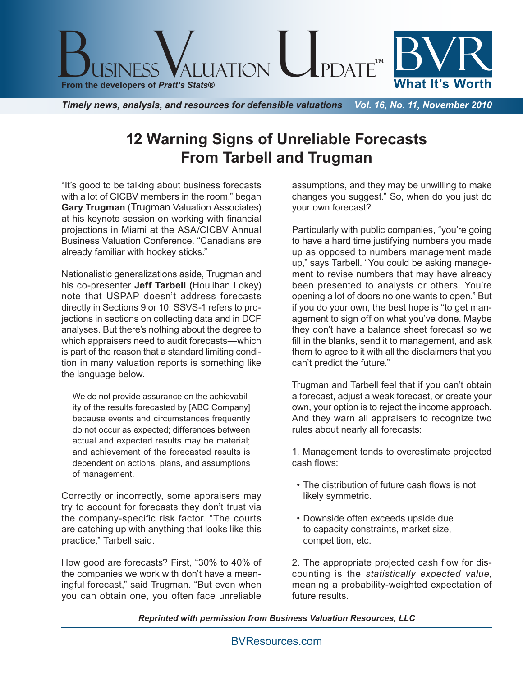

*Timely news, analysis, and resources for defensible valuations Vol. 16, No. 11, November 2010*

## **12 Warning Signs of Unreliable Forecasts From Tarbell and Trugman**

"It's good to be talking about business forecasts with a lot of CICBV members in the room," began **Gary Trugman** (Trugman Valuation Associates) at his keynote session on working with financial projections in Miami at the ASA/CICBV Annual Business Valuation Conference. "Canadians are already familiar with hockey sticks."

Nationalistic generalizations aside, Trugman and his co-presenter **Jeff Tarbell (**Houlihan Lokey) note that USPAP doesn't address forecasts directly in Sections 9 or 10. SSVS-1 refers to projections in sections on collecting data and in DCF analyses. But there's nothing about the degree to which appraisers need to audit forecasts—which is part of the reason that a standard limiting condition in many valuation reports is something like the language below.

We do not provide assurance on the achievability of the results forecasted by [ABC Company] because events and circumstances frequently do not occur as expected; differences between actual and expected results may be material; and achievement of the forecasted results is dependent on actions, plans, and assumptions of management.

Correctly or incorrectly, some appraisers may try to account for forecasts they don't trust via the company-specific risk factor. "The courts are catching up with anything that looks like this practice," Tarbell said.

How good are forecasts? First, "30% to 40% of the companies we work with don't have a meaningful forecast," said Trugman. "But even when you can obtain one, you often face unreliable

assumptions, and they may be unwilling to make changes you suggest." So, when do you just do your own forecast?

Particularly with public companies, "you're going to have a hard time justifying numbers you made up as opposed to numbers management made up," says Tarbell. "You could be asking management to revise numbers that may have already been presented to analysts or others. You're opening a lot of doors no one wants to open." But if you do your own, the best hope is "to get management to sign off on what you've done. Maybe they don't have a balance sheet forecast so we fill in the blanks, send it to management, and ask them to agree to it with all the disclaimers that you can't predict the future."

Trugman and Tarbell feel that if you can't obtain a forecast, adjust a weak forecast, or create your own, your option is to reject the income approach. And they warn all appraisers to recognize two rules about nearly all forecasts:

1. Management tends to overestimate projected cash flows:

- The distribution of future cash flows is not likely symmetric.
- Downside often exceeds upside due to capacity constraints, market size, competition, etc.

2. The appropriate projected cash flow for discounting is the *statistically expected value*, meaning a probability-weighted expectation of future results.

*Reprinted with permission from Business Valuation Resources, LLC*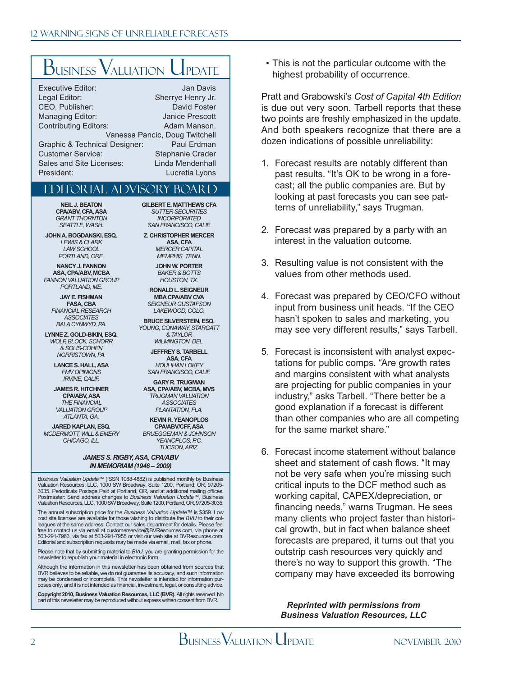# **BUSINESS VALUATION UPDATE**

| <b>Executive Editor:</b>       | Jan Davis              |
|--------------------------------|------------------------|
| Legal Editor:                  | Sherrye Henry Jr.      |
| CEO, Publisher:                | David Foster           |
| <b>Managing Editor:</b>        | <b>Janice Prescott</b> |
| <b>Contributing Editors:</b>   | Adam Manson,           |
| Vanessa Pancic, Doug Twitchell |                        |
| Graphic & Technical Designer:  | Paul Erdman            |
| <b>Customer Service:</b>       | Stephanie Crader       |
| Sales and Site Licenses:       | Linda Mendenhall       |
| President:                     | Lucretia Lyons         |

### Editorial Advisory Board

**NEIL J. BEATON CPA/ABV, CFA, ASA** *GRANT THORNTON SEATTLE, WASH.*

**JOHN A. BOGDANSKI, ESQ.** *LEWIS & CLARK LAW SCHOOL PORTLAND, ORE.*

**NANCY J. FANNON ASA, CPA/ABV, MCBA** *FANNON VALUATION GROUP PORTLAND, ME.*

**JAY E. FISHMAN FASA, CBA** *FINANCIAL RESEARCH ASSOCIATES BALA CYNWYD, PA.*

**LYNNE Z. GOLD-BIKIN, ESQ.** *WOLF, BLOCK, SCHORR & SOLIS-COHEN NORRISTOWN, PA.*

**LANCE S. HALL, ASA** *FMV OPINIONS IRVINE, CALIF.*

**JAMES R. HITCHNER CPA/ABV, ASA** *THE FINANCIAL VALUATION GROUP ATLANTA, GA.*

**JARED KAPLAN, ESQ.** *MCDERMOTT, WILL & EMERY CHICAGO, ILL.*

**GILBERT E. MATTHEWS CFA** *SUTTER SECURITIES INCORPORATED SAN FRANCISCO, CALIF.*

**Z. CHRISTOPHER MERCER ASA, CFA** *MERCER CAPITAL MEMPHIS, TENN.*

> **JOHN W. PORTER** *BAKER & BOTTS HOUSTON, TX.*

**RONALD L. SEIGNEUR MBA CPA/ABV CVA** *SEIGNEUR GUSTAFSON LAKEWOOD, COLO.*

**BRUCE SILVERSTEIN, ESQ.** *YOUNG, CONAWAY, STARGATT & TAYLOR*

*WILMINGTON, DEL.* **JEFFREY S. TARBELL ASA, CFA** *HOULIHAN LOKEY SAN FRANCISCO, CALIF.*

**GARY R. TRUGMAN ASA, CPA/ABV, MCBA, MVS** *TRUGMAN VALUATION ASSOCIATES PLANTATION, FLA.*

**KEVIN R. YEANOPLOS CPA/ABV/CFF, ASA** *BRUEGGEMAN & JOHNSON*  **YEANOPLOS** PC *TUCSON, ARIZ.*

#### *JAMES S. RIGBY, ASA, CPA/ABV IN MEMORIAM (1946 – 2009)*

*Business Valuation Update*™ (ISSN 1088-4882) is published monthly by Business Valuation Resources, LLC, 1000 SW Broadway, Suite 1200, Portland, OR, 97205- 3035. Periodicals Postage Paid at Portland, OR, and at additional mailing offices. Postmaster: Send address changes to *Business Valuation Update*™, Business Valuation Resources, LLC, 1000 SW Broadway, Suite 1200, Portland, OR, 97205-3035.

The annual subscription price for the *Business Valuation Update*™ is \$359. Low cost site licenses are available for those wishing to distribute the *BVU* to their colleagues at the same address. Contact our sales department for details. Please feel free to contact us via email at customerservice@BVResources.com, via phone at 503-291-7963, via fax at 503-291-7955 or visit our web site at BVResources.com. Editorial and subscription requests may be made via email, mail, fax or phone.

Please note that by submitting material to *BVU,* you are granting permission for the newsletter to republish your material in electronic form.

Although the information in this newsletter has been obtained from sources that BVR believes to be reliable, we do not guarantee its accuracy, and such information may be condensed or incomplete. This newsletter is intended for information purposes only, and it is not intended as financial, investment, legal, or consulting advice.

**Copyright 2010, Business Valuation Resources, LLC (BVR).** All rights reserved. No part of this newsletter may be reproduced without express written consent from BVR.

• This is not the particular outcome with the highest probability of occurrence.

Pratt and Grabowski's *Cost of Capital 4th Edition* is due out very soon. Tarbell reports that these two points are freshly emphasized in the update. And both speakers recognize that there are a dozen indications of possible unreliability:

- 1. Forecast results are notably different than past results. "It's OK to be wrong in a forecast; all the public companies are. But by looking at past forecasts you can see patterns of unreliability," says Trugman.
- 2. Forecast was prepared by a party with an interest in the valuation outcome.
- 3. Resulting value is not consistent with the values from other methods used.
- 4. Forecast was prepared by CEO/CFO without input from business unit heads. "If the CEO hasn't spoken to sales and marketing, you may see very different results," says Tarbell.
- 5. Forecast is inconsistent with analyst expectations for public comps. "Are growth rates and margins consistent with what analysts are projecting for public companies in your industry," asks Tarbell. "There better be a good explanation if a forecast is different than other companies who are all competing for the same market share."
- 6. Forecast income statement without balance sheet and statement of cash flows. "It may not be very safe when you're missing such critical inputs to the DCF method such as working capital, CAPEX/depreciation, or financing needs," warns Trugman. He sees many clients who project faster than historical growth, but in fact when balance sheet forecasts are prepared, it turns out that you outstrip cash resources very quickly and there's no way to support this growth. "The company may have exceeded its borrowing

*Reprinted with permissions from Business Valuation Resources, LLC*